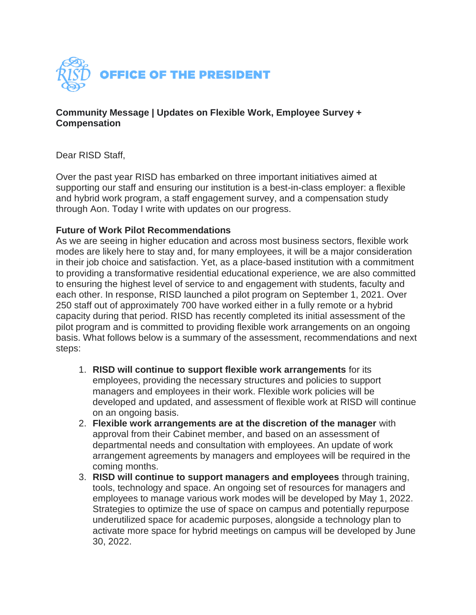

#### **Community Message | Updates on Flexible Work, Employee Survey + Compensation**

Dear RISD Staff,

Over the past year RISD has embarked on three important initiatives aimed at supporting our staff and ensuring our institution is a best-in-class employer: a flexible and hybrid work program, a staff engagement survey, and a compensation study through Aon. Today I write with updates on our progress.

## **Future of Work Pilot Recommendations**

As we are seeing in higher education and across most business sectors, flexible work modes are likely here to stay and, for many employees, it will be a major consideration in their job choice and satisfaction. Yet, as a place-based institution with a commitment to providing a transformative residential educational experience, we are also committed to ensuring the highest level of service to and engagement with students, faculty and each other. In response, RISD launched a pilot program on September 1, 2021. Over 250 staff out of approximately 700 have worked either in a fully remote or a hybrid capacity during that period. RISD has recently completed its initial assessment of the pilot program and is committed to providing flexible work arrangements on an ongoing basis. What follows below is a summary of the assessment, recommendations and next steps:

- 1. **RISD will continue to support flexible work arrangements** for its employees, providing the necessary structures and policies to support managers and employees in their work. Flexible work policies will be developed and updated, and assessment of flexible work at RISD will continue on an ongoing basis.
- 2. **Flexible work arrangements are at the discretion of the manager** with approval from their Cabinet member, and based on an assessment of departmental needs and consultation with employees. An update of work arrangement agreements by managers and employees will be required in the coming months.
- 3. **RISD will continue to support managers and employees** through training, tools, technology and space. An ongoing set of resources for managers and employees to manage various work modes will be developed by May 1, 2022. Strategies to optimize the use of space on campus and potentially repurpose underutilized space for academic purposes, alongside a technology plan to activate more space for hybrid meetings on campus will be developed by June 30, 2022.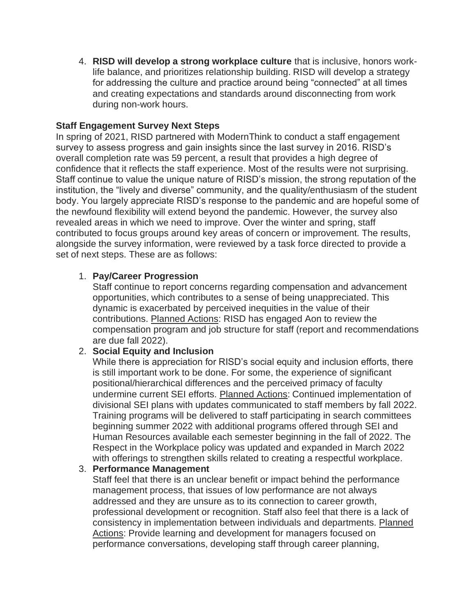4. **RISD will develop a strong workplace culture** that is inclusive, honors worklife balance, and prioritizes relationship building. RISD will develop a strategy for addressing the culture and practice around being "connected" at all times and creating expectations and standards around disconnecting from work during non-work hours.

#### **Staff Engagement Survey Next Steps**

In spring of 2021, RISD partnered with ModernThink to conduct a staff engagement survey to assess progress and gain insights since the last survey in 2016. RISD's overall completion rate was 59 percent, a result that provides a high degree of confidence that it reflects the staff experience. Most of the results were not surprising. Staff continue to value the unique nature of RISD's mission, the strong reputation of the institution, the "lively and diverse" community, and the quality/enthusiasm of the student body. You largely appreciate RISD's response to the pandemic and are hopeful some of the newfound flexibility will extend beyond the pandemic. However, the survey also revealed areas in which we need to improve. Over the winter and spring, staff contributed to focus groups around key areas of concern or improvement. The results, alongside the survey information, were reviewed by a task force directed to provide a set of next steps. These are as follows:

## 1. **Pay/Career Progression**

Staff continue to report concerns regarding compensation and advancement opportunities, which contributes to a sense of being unappreciated. This dynamic is exacerbated by perceived inequities in the value of their contributions. Planned Actions: RISD has engaged Aon to review the compensation program and job structure for staff (report and recommendations are due fall 2022).

# 2. **Social Equity and Inclusion**

While there is appreciation for RISD's social equity and inclusion efforts, there is still important work to be done. For some, the experience of significant positional/hierarchical differences and the perceived primacy of faculty undermine current SEI efforts. Planned Actions: Continued implementation of divisional SEI plans with updates communicated to staff members by fall 2022. Training programs will be delivered to staff participating in search committees beginning summer 2022 with additional programs offered through SEI and Human Resources available each semester beginning in the fall of 2022. The Respect in the Workplace policy was updated and expanded in March 2022 with offerings to strengthen skills related to creating a respectful workplace.

#### 3. **Performance Management**

Staff feel that there is an unclear benefit or impact behind the performance management process, that issues of low performance are not always addressed and they are unsure as to its connection to career growth, professional development or recognition. Staff also feel that there is a lack of consistency in implementation between individuals and departments. Planned Actions: Provide learning and development for managers focused on performance conversations, developing staff through career planning,